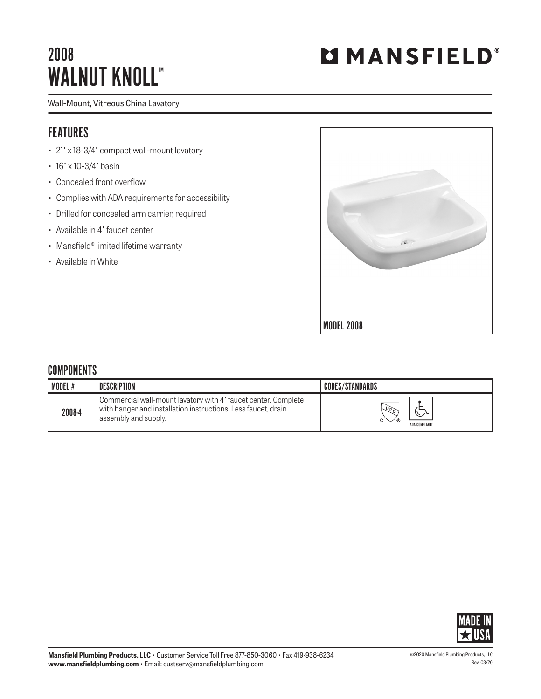## 2008 WALNUT KNOLL™

# **MMANSFIELD®**

#### Wall-Mount, Vitreous China Lavatory

### FEATURES

- 21" x 18-3/4" compact wall-mount lavatory
- 16' x 10-3/4' basin
- Concealed front overflow
- Complies with ADA requirements for accessibility
- Drilled for concealed arm carrier, required
- Available in 4" faucet center
- Mansfield® limited lifetime warranty
- Available in White



#### **COMPONENTS**

| <b>MODEL#</b> | DESCRIPTION                                                                                                                                             | <b>CODES/STANDARDS</b>      |
|---------------|---------------------------------------------------------------------------------------------------------------------------------------------------------|-----------------------------|
| 2008-4        | Commercial wall-mount lavatory with 4' faucet center. Complete<br>with hanger and installation instructions. Less faucet, drain<br>assembly and supply. | $\sqrt{9}$<br>ADA COMPLIANT |